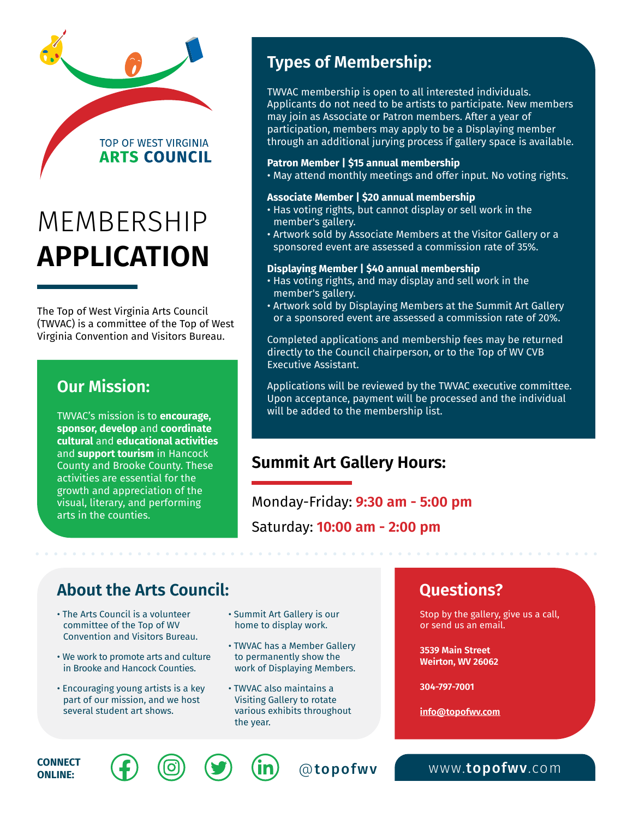# MEMBERSHIP **APPLICATION**

**TOP OF WEST VIRGINIA ARTS COUNCIL** 

The Top of West Virginia Arts Council (TWVAC) is a committee of the Top of West Virginia Convention and Visitors Bureau.

#### **Our Mission:**

TWVAC's mission is to **encourage, sponsor, develop** and **coordinate cultural** and **educational activities** and **support tourism** in Hancock County and Brooke County. These activities are essential for the growth and appreciation of the visual, literary, and performing arts in the counties.

# **Types of Membership:**

TWVAC membership is open to all interested individuals. Applicants do not need to be artists to participate. New members may join as Associate or Patron members. After a year of participation, members may apply to be a Displaying member through an additional jurying process if gallery space is available.

#### **Patron Member | \$15 annual membership**

• May attend monthly meetings and offer input. No voting rights.

#### **Associate Member | \$20 annual membership**

- Has voting rights, but cannot display or sell work in the member's gallery.
- Artwork sold by Associate Members at the Visitor Gallery or a sponsored event are assessed a commission rate of 35%.

#### **Displaying Member | \$40 annual membership**

- Has voting rights, and may display and sell work in the member's gallery.
- Artwork sold by Displaying Members at the Summit Art Gallery or a sponsored event are assessed a commission rate of 20%.

Completed applications and membership fees may be returned directly to the Council chairperson, or to the Top of WV CVB Executive Assistant.

Applications will be reviewed by the TWVAC executive committee. Upon acceptance, payment will be processed and the individual will be added to the membership list.

## **Summit Art Gallery Hours:**

Monday-Friday: **9:30 am - 5:00 pm** Saturday: **10:00 am - 2:00 pm**

## **About the Arts Council:**

- The Arts Council is a volunteer committee of the Top of WV Convention and Visitors Bureau.
- We work to promote arts and culture in Brooke and Hancock Counties.
- Encouraging young artists is a key part of our mission, and we host several student art shows.
- Summit Art Gallery is our home to display work.
- TWVAC has a Member Gallery to permanently show the work of Displaying Members.
- TWVAC also maintains a Visiting Gallery to rotate various exhibits throughout the year.

## **Questions?**

Stop by the gallery, give us a call, or send us an email.

**3539 Main Street Weirton, WV 26062**

**304-797-7001**

**[info@topofwv.com](mailto:info%40topofwv.com?subject=)**







**CONNECT**  $\left(\begin{matrix}f\end{matrix}\right)$   $\left(\begin{matrix}0\end{matrix}\right)$   $\left(\begin{matrix}y\end{matrix}\right)$   $\left(\begin{matrix}in\end{matrix}\right)$   $\odot$  [topofwv](http://www.topofwv.com) www.topofwv.com